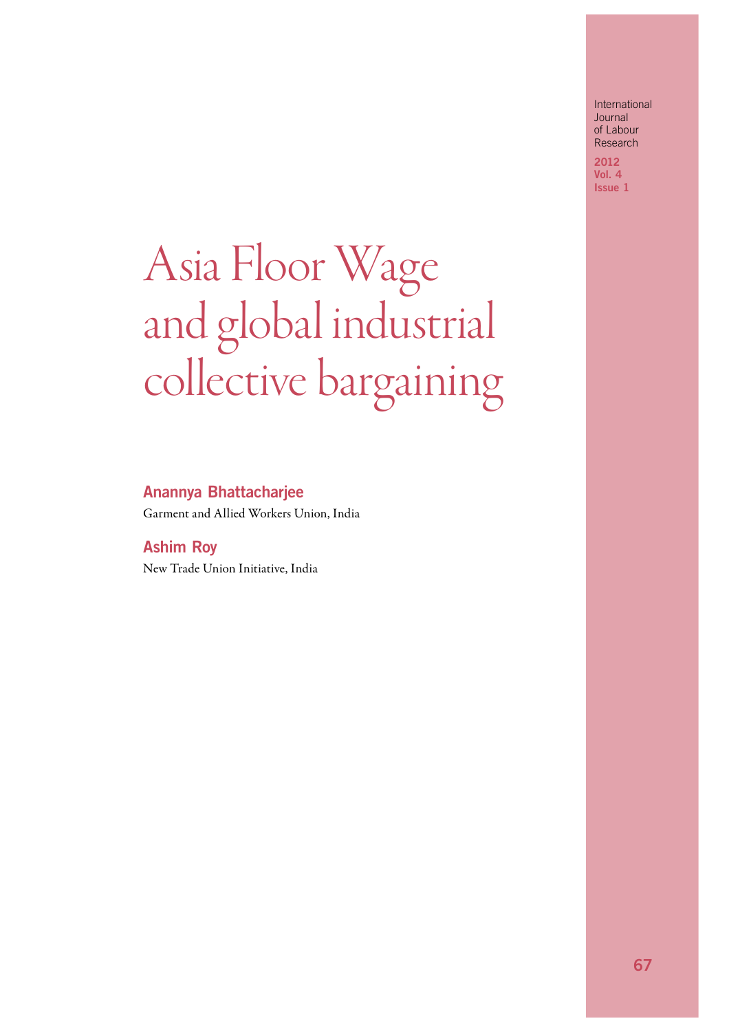2012 Vol. 4 Issue 1

# Asia Floor Wage and global industrial collective bargaining

### Anannya Bhattacharjee

Garment and Allied Workers Union, India

#### Ashim Roy

New Trade Union Initiative, India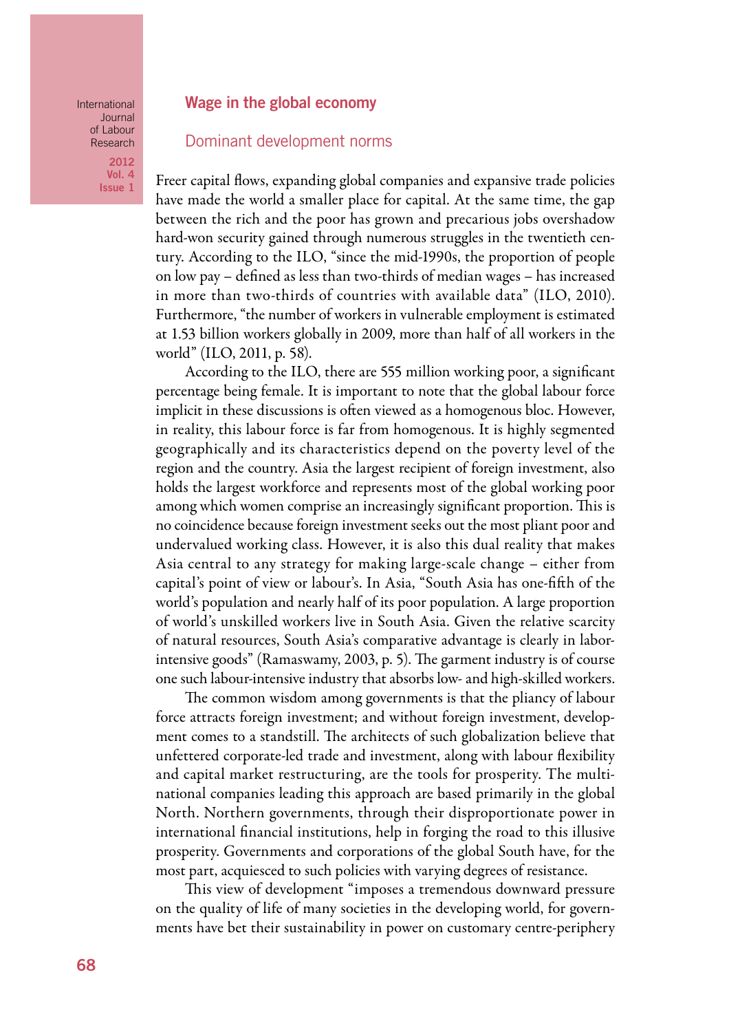#### Wage in the global economy

Journal of Labour Research 2012 Vol. 4

Issue 1

International

# Dominant development norms

Freer capital fows, expanding global companies and expansive trade policies have made the world a smaller place for capital. At the same time, the gap between the rich and the poor has grown and precarious jobs overshadow hard-won security gained through numerous struggles in the twentieth century. According to the ILO, "since the mid-1990s, the proportion of people on low pay – defned as less than two-thirds of median wages – has increased in more than two-thirds of countries with available data" (ILO, 2010). Furthermore, "the number of workers in vulnerable employment is estimated at 1.53 billion workers globally in 2009, more than half of all workers in the world" (ILO, 2011, p. 58).

According to the ILO, there are 555 million working poor, a signifcant percentage being female. It is important to note that the global labour force implicit in these discussions is ofen viewed as a homogenous bloc. However, in reality, this labour force is far from homogenous. It is highly segmented geographically and its characteristics depend on the poverty level of the region and the country. Asia the largest recipient of foreign investment, also holds the largest workforce and represents most of the global working poor among which women comprise an increasingly significant proportion. This is no coincidence because foreign investment seeks out the most pliant poor and undervalued working class. However, it is also this dual reality that makes Asia central to any strategy for making large-scale change – either from capital's point of view or labour's. In Asia, "South Asia has one-ffh of the world's population and nearly half of its poor population. A large proportion of world's unskilled workers live in South Asia. Given the relative scarcity of natural resources, South Asia's comparative advantage is clearly in laborintensive goods" (Ramaswamy, 2003, p. 5). The garment industry is of course one such labour-intensive industry that absorbs low- and high-skilled workers.

The common wisdom among governments is that the pliancy of labour force attracts foreign investment; and without foreign investment, development comes to a standstill. The architects of such globalization believe that unfettered corporate-led trade and investment, along with labour fexibility and capital market restructuring, are the tools for prosperity. The multinational companies leading this approach are based primarily in the global North. Northern governments, through their disproportionate power in international fnancial institutions, help in forging the road to this illusive prosperity. Governments and corporations of the global South have, for the most part, acquiesced to such policies with varying degrees of resistance.

This view of development "imposes a tremendous downward pressure on the quality of life of many societies in the developing world, for governments have bet their sustainability in power on customary centre-periphery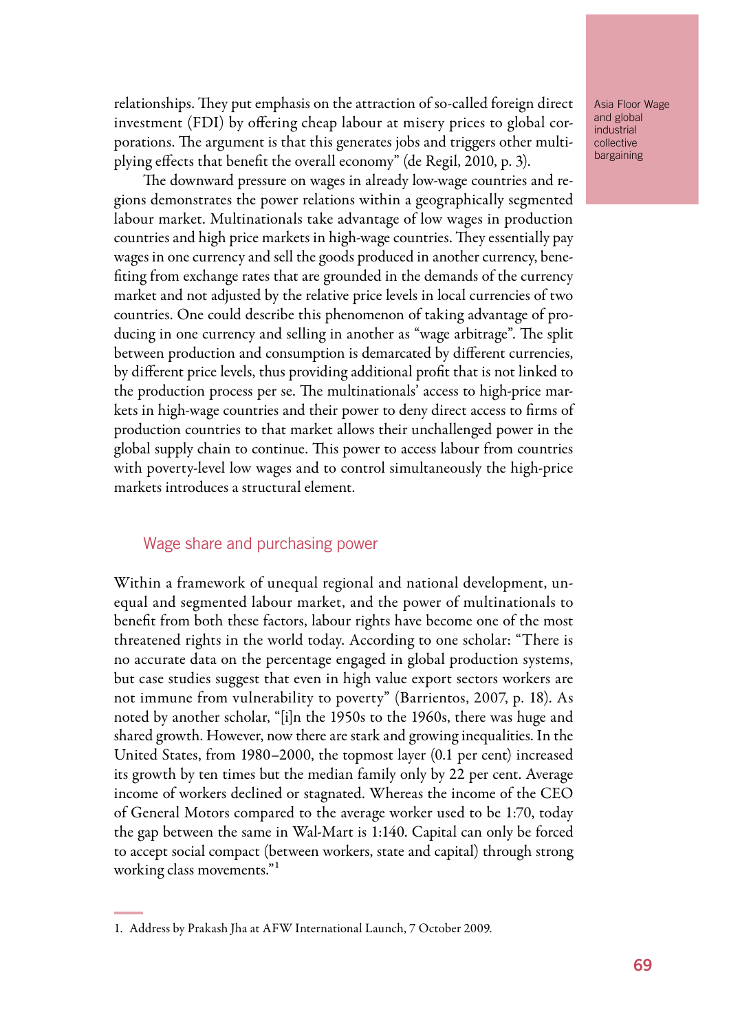Asia Floor Wage and global industrial collective bargaining

relationships. They put emphasis on the attraction of so-called foreign direct investment (FDI) by offering cheap labour at misery prices to global corporations. The argument is that this generates jobs and triggers other multiplying efects that beneft the overall economy" (de Regil, 2010, p. 3).

The downward pressure on wages in already low-wage countries and regions demonstrates the power relations within a geographically segmented labour market. Multinationals take advantage of low wages in production countries and high price markets in high-wage countries. They essentially pay wages in one currency and sell the goods produced in another currency, benefting from exchange rates that are grounded in the demands of the currency market and not adjusted by the relative price levels in local currencies of two countries. One could describe this phenomenon of taking advantage of producing in one currency and selling in another as "wage arbitrage". The split between production and consumption is demarcated by diferent currencies, by diferent price levels, thus providing additional proft that is not linked to the production process per se. The multinationals' access to high-price markets in high-wage countries and their power to deny direct access to frms of production countries to that market allows their unchallenged power in the global supply chain to continue. This power to access labour from countries with poverty-level low wages and to control simultaneously the high-price markets introduces a structural element.

# Wage share and purchasing power

Within a framework of unequal regional and national development, unequal and segmented labour market, and the power of multinationals to beneft from both these factors, labour rights have become one of the most threatened rights in the world today. According to one scholar: "There is no accurate data on the percentage engaged in global production systems, but case studies suggest that even in high value export sectors workers are not immune from vulnerability to poverty" (Barrientos, 2007, p. 18). As noted by another scholar, "[i]n the 1950s to the 1960s, there was huge and shared growth. However, now there are stark and growing inequalities. In the United States, from 1980–2000, the topmost layer (0.1 per cent) increased its growth by ten times but the median family only by 22 per cent. Average income of workers declined or stagnated. Whereas the income of the CEO of General Motors compared to the average worker used to be 1:70, today the gap between the same in Wal-Mart is 1:140. Capital can only be forced to accept social compact (between workers, state and capital) through strong working class movements."1

<sup>1</sup>. Address by Prakash Jha at AFW International Launch, 7 October 2009.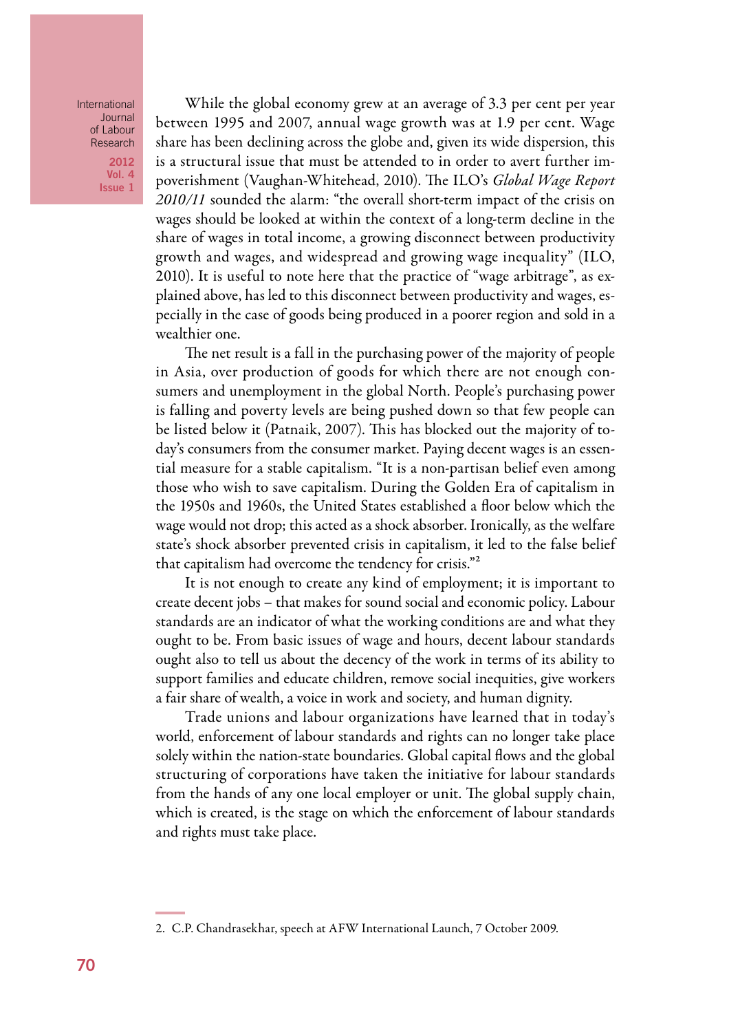2012 Vol. 4 Issue 1

While the global economy grew at an average of 3.3 per cent per year between 1995 and 2007, annual wage growth was at 1.9 per cent. Wage share has been declining across the globe and, given its wide dispersion, this is a structural issue that must be attended to in order to avert further impoverishment (Vaughan-Whitehead, 2010). The ILO's *Global Wage Report* 2010*/*11 sounded the alarm: "the overall short-term impact of the crisis on wages should be looked at within the context of a long-term decline in the share of wages in total income, a growing disconnect between productivity growth and wages, and widespread and growing wage inequality" (ILO, 2010). It is useful to note here that the practice of "wage arbitrage", as explained above, has led to this disconnect between productivity and wages, especially in the case of goods being produced in a poorer region and sold in a wealthier one.

The net result is a fall in the purchasing power of the majority of people in Asia, over production of goods for which there are not enough consumers and unemployment in the global North. People's purchasing power is falling and poverty levels are being pushed down so that few people can be listed below it (Patnaik, 2007). This has blocked out the majority of today's consumers from the consumer market. Paying decent wages is an essential measure for a stable capitalism. "It is a non-partisan belief even among those who wish to save capitalism. During the Golden Era of capitalism in the 1950s and 1960s, the United States established a foor below which the wage would not drop; this acted as a shock absorber. Ironically, as the welfare state's shock absorber prevented crisis in capitalism, it led to the false belief that capitalism had overcome the tendency for crisis."2

It is not enough to create any kind of employment; it is important to create decent jobs – that makes for sound social and economic policy. Labour standards are an indicator of what the working conditions are and what they ought to be. From basic issues of wage and hours, decent labour standards ought also to tell us about the decency of the work in terms of its ability to support families and educate children, remove social inequities, give workers a fair share of wealth, a voice in work and society, and human dignity.

Trade unions and labour organizations have learned that in today's world, enforcement of labour standards and rights can no longer take place solely within the nation-state boundaries. Global capital flows and the global structuring of corporations have taken the initiative for labour standards from the hands of any one local employer or unit. The global supply chain, which is created, is the stage on which the enforcement of labour standards and rights must take place.

<sup>2</sup>. C.P. Chandrasekhar, speech at AFW International Launch, 7 October 2009.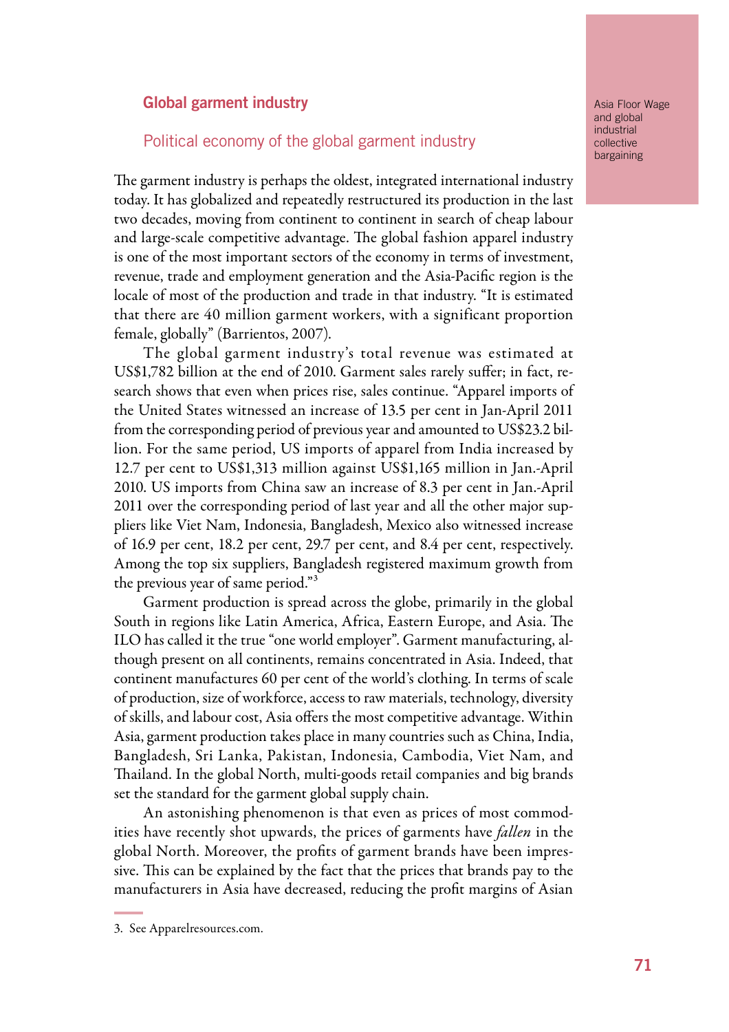# Global garment industry

Asia Floor Wage and global industrial collective bargaining

# Political economy of the global garment industry

The garment industry is perhaps the oldest, integrated international industry today. It has globalized and repeatedly restructured its production in the last two decades, moving from continent to continent in search of cheap labour and large-scale competitive advantage. The global fashion apparel industry is one of the most important sectors of the economy in terms of investment, revenue, trade and employment generation and the Asia-Pacifc region is the locale of most of the production and trade in that industry. "It is estimated that there are 40 million garment workers, with a significant proportion female, globally" (Barrientos, 2007).

The global garment industry's total revenue was estimated at US\$1,782 billion at the end of 2010. Garment sales rarely sufer; in fact, research shows that even when prices rise, sales continue. "Apparel imports of the United States witnessed an increase of 13.5 per cent in Jan-April 2011 from the corresponding period of previous year and amounted to US\$23.2 billion. For the same period, US imports of apparel from India increased by 12.7 per cent to US\$1,313 million against US\$1,165 million in Jan.-April 2010. US imports from China saw an increase of 8.3 per cent in Jan.-April 2011 over the corresponding period of last year and all the other major suppliers like Viet Nam, Indonesia, Bangladesh, Mexico also witnessed increase of 16.9 per cent, 18.2 per cent, 29.7 per cent, and 8.4 per cent, respectively. Among the top six suppliers, Bangladesh registered maximum growth from the previous year of same period."3

Garment production is spread across the globe, primarily in the global South in regions like Latin America, Africa, Eastern Europe, and Asia. The ILO has called it the true "one world employer". Garment manufacturing, although present on all continents, remains concentrated in Asia. Indeed, that continent manufactures 60 per cent of the world's clothing. In terms of scale of production, size of workforce, access to raw materials, technology, diversity of skills, and labour cost, Asia offers the most competitive advantage. Within Asia, garment production takes place in many countries such as China, India, Bangladesh, Sri Lanka, Pakistan, Indonesia, Cambodia, Viet Nam, and Tailand. In the global North, multi-goods retail companies and big brands set the standard for the garment global supply chain.

An astonishing phenomenon is that even as prices of most commodities have recently shot upwards, the prices of garments have *fallen* in the global North. Moreover, the profts of garment brands have been impressive. This can be explained by the fact that the prices that brands pay to the manufacturers in Asia have decreased, reducing the proft margins of Asian

<sup>3</sup>. See Apparelresources.com.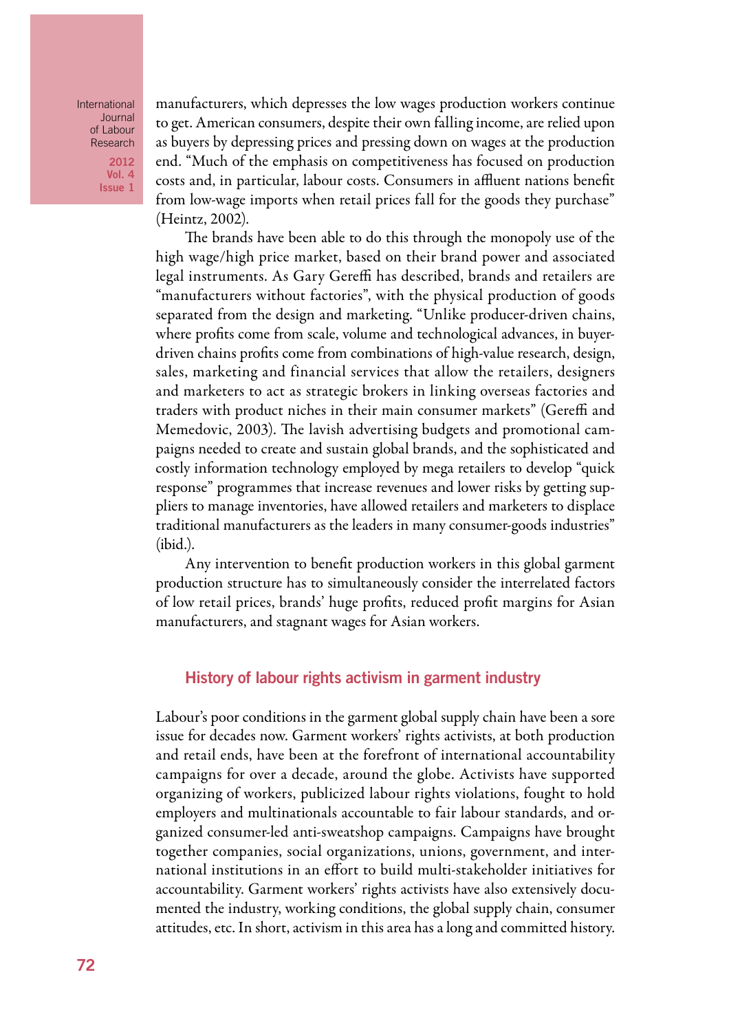Vol. 4 Issue 1 manufacturers, which depresses the low wages production workers continue to get. American consumers, despite their own falling income, are relied upon as buyers by depressing prices and pressing down on wages at the production end. "Much of the emphasis on competitiveness has focused on production costs and, in particular, labour costs. Consumers in affluent nations benefit from low-wage imports when retail prices fall for the goods they purchase" (Heintz, 2002).

The brands have been able to do this through the monopoly use of the high wage/high price market, based on their brand power and associated legal instruments. As Gary Gereffi has described, brands and retailers are "manufacturers without factories", with the physical production of goods separated from the design and marketing. "Unlike producer-driven chains, where profts come from scale, volume and technological advances, in buyerdriven chains profts come from combinations of high-value research, design, sales, marketing and financial services that allow the retailers, designers and marketers to act as strategic brokers in linking overseas factories and traders with product niches in their main consumer markets" (Gereffi and Memedovic, 2003). The lavish advertising budgets and promotional campaigns needed to create and sustain global brands, and the sophisticated and costly information technology employed by mega retailers to develop "quick response" programmes that increase revenues and lower risks by getting suppliers to manage inventories, have allowed retailers and marketers to displace traditional manufacturers as the leaders in many consumer-goods industries" (ibid.).

Any intervention to beneft production workers in this global garment production structure has to simultaneously consider the interrelated factors of low retail prices, brands' huge profts, reduced proft margins for Asian manufacturers, and stagnant wages for Asian workers.

#### History of labour rights activism in garment industry

Labour's poor conditions in the garment global supply chain have been a sore issue for decades now. Garment workers' rights activists, at both production and retail ends, have been at the forefront of international accountability campaigns for over a decade, around the globe. Activists have supported organizing of workers, publicized labour rights violations, fought to hold employers and multinationals accountable to fair labour standards, and organized consumer-led anti-sweatshop campaigns. Campaigns have brought together companies, social organizations, unions, government, and international institutions in an efort to build multi-stakeholder initiatives for accountability. Garment workers' rights activists have also extensively documented the industry, working conditions, the global supply chain, consumer attitudes, etc. In short, activism in this area has a long and committed history.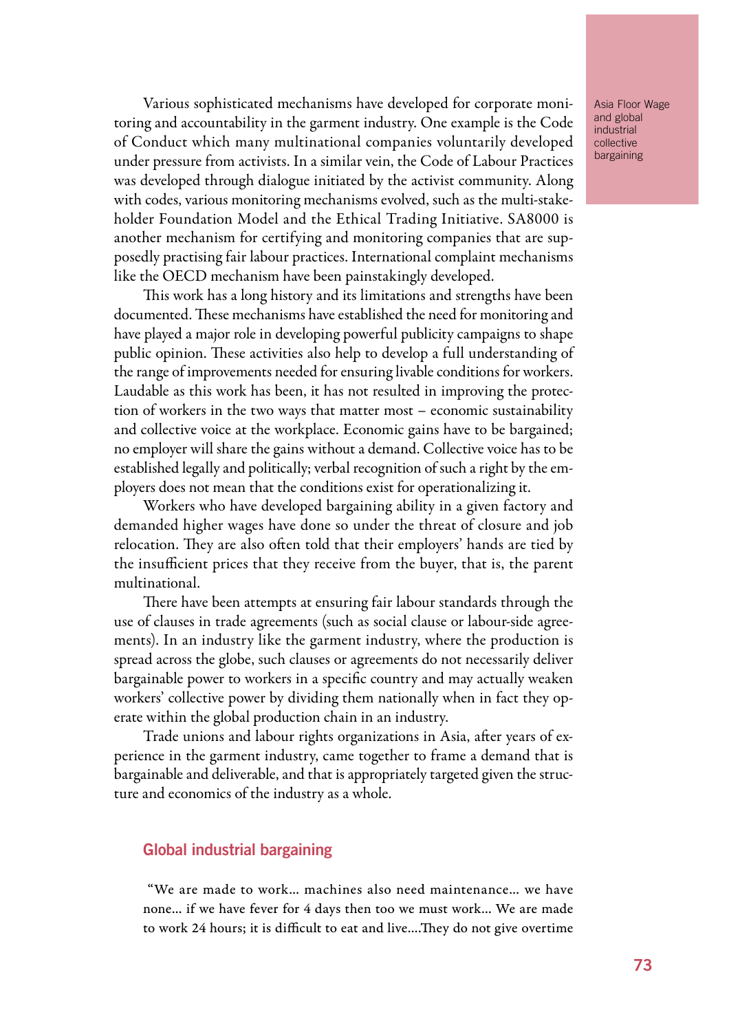Various sophisticated mechanisms have developed for corporate monitoring and accountability in the garment industry. One example is the Code of Conduct which many multinational companies voluntarily developed under pressure from activists. In a similar vein, the Code of Labour Practices was developed through dialogue initiated by the activist community. Along with codes, various monitoring mechanisms evolved, such as the multi-stakeholder Foundation Model and the Ethical Trading Initiative. SA8000 is another mechanism for certifying and monitoring companies that are supposedly practising fair labour practices. International complaint mechanisms like the OECD mechanism have been painstakingly developed.

This work has a long history and its limitations and strengths have been documented. These mechanisms have established the need for monitoring and have played a major role in developing powerful publicity campaigns to shape public opinion. These activities also help to develop a full understanding of the range of improvements needed for ensuring livable conditions for workers. Laudable as this work has been, it has not resulted in improving the protection of workers in the two ways that matter most – economic sustainability and collective voice at the workplace. Economic gains have to be bargained; no employer will share the gains without a demand. Collective voice has to be established legally and politically; verbal recognition of such a right by the employers does not mean that the conditions exist for operationalizing it.

Workers who have developed bargaining ability in a given factory and demanded higher wages have done so under the threat of closure and job relocation. They are also often told that their employers' hands are tied by the insufficient prices that they receive from the buyer, that is, the parent multinational.

There have been attempts at ensuring fair labour standards through the use of clauses in trade agreements (such as social clause or labour-side agreements). In an industry like the garment industry, where the production is spread across the globe, such clauses or agreements do not necessarily deliver bargainable power to workers in a specifc country and may actually weaken workers' collective power by dividing them nationally when in fact they operate within the global production chain in an industry.

Trade unions and labour rights organizations in Asia, after years of experience in the garment industry, came together to frame a demand that is bargainable and deliverable, and that is appropriately targeted given the structure and economics of the industry as a whole.

#### Global industrial bargaining

 "We are made to work… machines also need maintenance… we have none… if we have fever for 4 days then too we must work… We are made to work 24 hours; it is difficult to eat and live....They do not give overtime

Asia Floor Wage and global industrial collective bargaining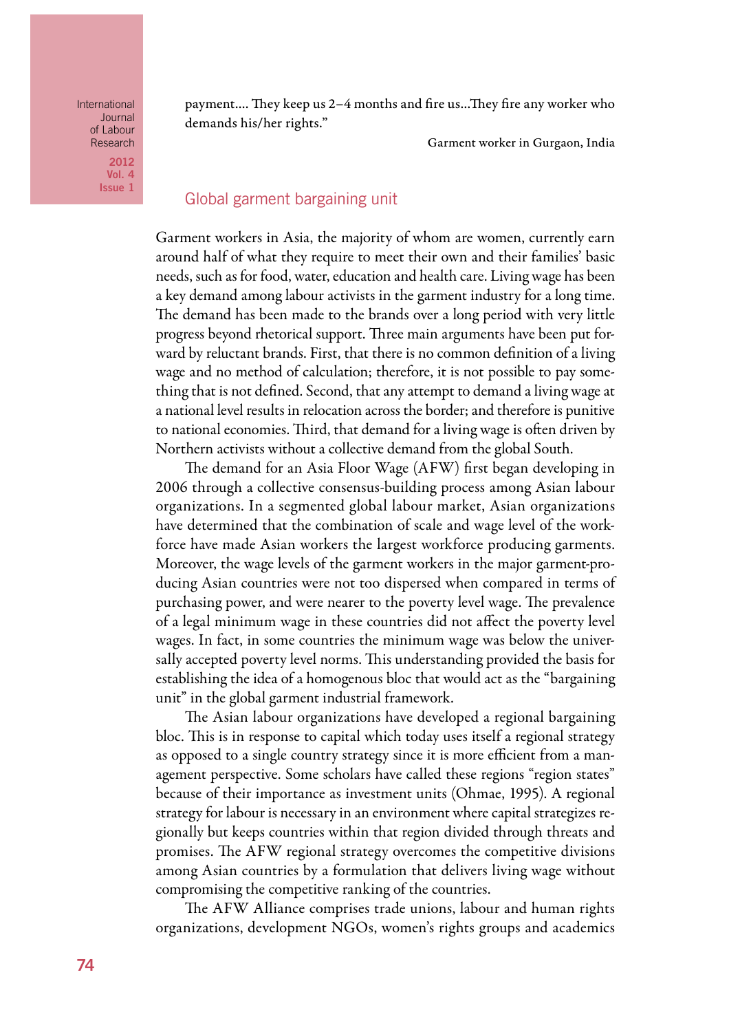> Vol. 4 Issue 1

payment.... They keep us 2–4 months and fire us...They fire any worker who demands his/her rights."

Garment worker in Gurgaon, India

#### Global garment bargaining unit

Garment workers in Asia, the majority of whom are women, currently earn around half of what they require to meet their own and their families' basic needs, such as for food, water, education and health care. Living wage has been a key demand among labour activists in the garment industry for a long time. The demand has been made to the brands over a long period with very little progress beyond rhetorical support. Three main arguments have been put forward by reluctant brands. First, that there is no common defnition of a living wage and no method of calculation; therefore, it is not possible to pay something that is not defned. Second, that any attempt to demand a living wage at a national level results in relocation across the border; and therefore is punitive to national economies. Third, that demand for a living wage is often driven by Northern activists without a collective demand from the global South.

The demand for an Asia Floor Wage (AFW) first began developing in 2006 through a collective consensus-building process among Asian labour organizations. In a segmented global labour market, Asian organizations have determined that the combination of scale and wage level of the workforce have made Asian workers the largest workforce producing garments. Moreover, the wage levels of the garment workers in the major garment-producing Asian countries were not too dispersed when compared in terms of purchasing power, and were nearer to the poverty level wage. The prevalence of a legal minimum wage in these countries did not afect the poverty level wages. In fact, in some countries the minimum wage was below the universally accepted poverty level norms. This understanding provided the basis for establishing the idea of a homogenous bloc that would act as the "bargaining unit" in the global garment industrial framework.

The Asian labour organizations have developed a regional bargaining bloc. This is in response to capital which today uses itself a regional strategy as opposed to a single country strategy since it is more efficient from a management perspective. Some scholars have called these regions "region states" because of their importance as investment units (Ohmae, 1995). A regional strategy for labour is necessary in an environment where capital strategizes regionally but keeps countries within that region divided through threats and promises. The AFW regional strategy overcomes the competitive divisions among Asian countries by a formulation that delivers living wage without compromising the competitive ranking of the countries.

The AFW Alliance comprises trade unions, labour and human rights organizations, development NGOs, women's rights groups and academics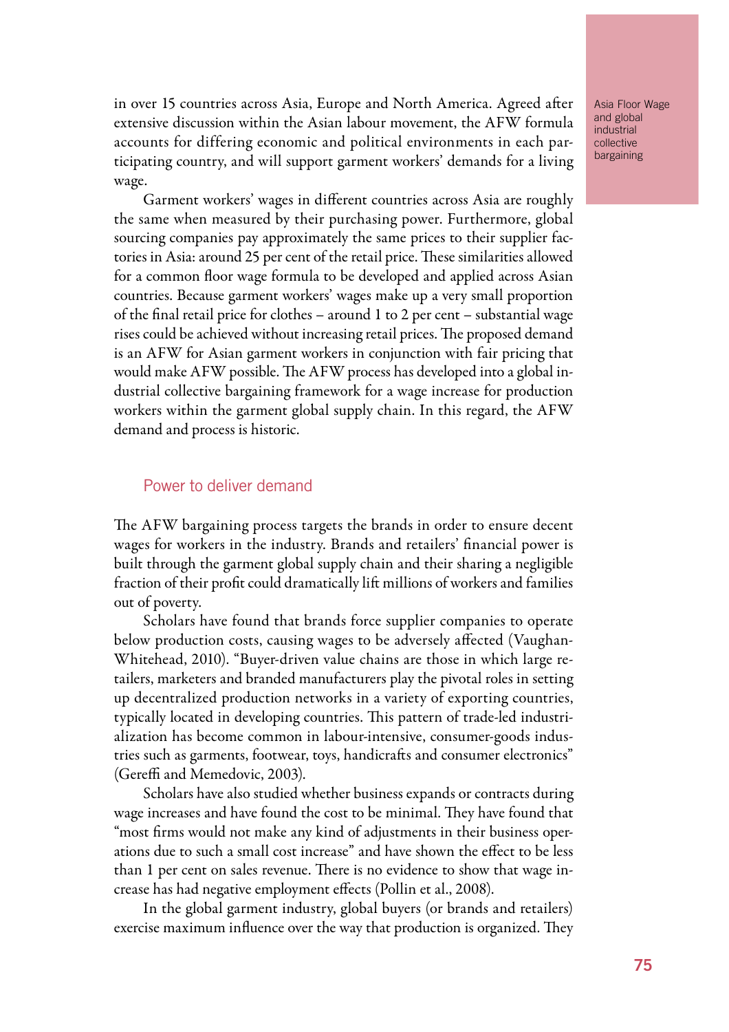Asia Floor Wage and global industrial collective bargaining

in over 15 countries across Asia, Europe and North America. Agreed afer extensive discussion within the Asian labour movement, the AFW formula accounts for differing economic and political environments in each participating country, and will support garment workers' demands for a living wage.

Garment workers' wages in diferent countries across Asia are roughly the same when measured by their purchasing power. Furthermore, global sourcing companies pay approximately the same prices to their supplier factories in Asia: around 25 per cent of the retail price. These similarities allowed for a common foor wage formula to be developed and applied across Asian countries. Because garment workers' wages make up a very small proportion of the fnal retail price for clothes – around 1 to 2 per cent – substantial wage rises could be achieved without increasing retail prices. The proposed demand is an AFW for Asian garment workers in conjunction with fair pricing that would make AFW possible. The AFW process has developed into a global industrial collective bargaining framework for a wage increase for production workers within the garment global supply chain. In this regard, the AFW demand and process is historic.

#### Power to deliver demand

The AFW bargaining process targets the brands in order to ensure decent wages for workers in the industry. Brands and retailers' fnancial power is built through the garment global supply chain and their sharing a negligible fraction of their profit could dramatically lift millions of workers and families out of poverty.

Scholars have found that brands force supplier companies to operate below production costs, causing wages to be adversely affected (Vaughan-Whitehead, 2010). "Buyer-driven value chains are those in which large retailers, marketers and branded manufacturers play the pivotal roles in setting up decentralized production networks in a variety of exporting countries, typically located in developing countries. This pattern of trade-led industrialization has become common in labour-intensive, consumer-goods industries such as garments, footwear, toys, handicrafs and consumer electronics" (Gereffi and Memedovic, 2003).

Scholars have also studied whether business expands or contracts during wage increases and have found the cost to be minimal. They have found that "most frms would not make any kind of adjustments in their business operations due to such a small cost increase" and have shown the efect to be less than 1 per cent on sales revenue. There is no evidence to show that wage increase has had negative employment efects (Pollin et al., 2008).

In the global garment industry, global buyers (or brands and retailers) exercise maximum influence over the way that production is organized. They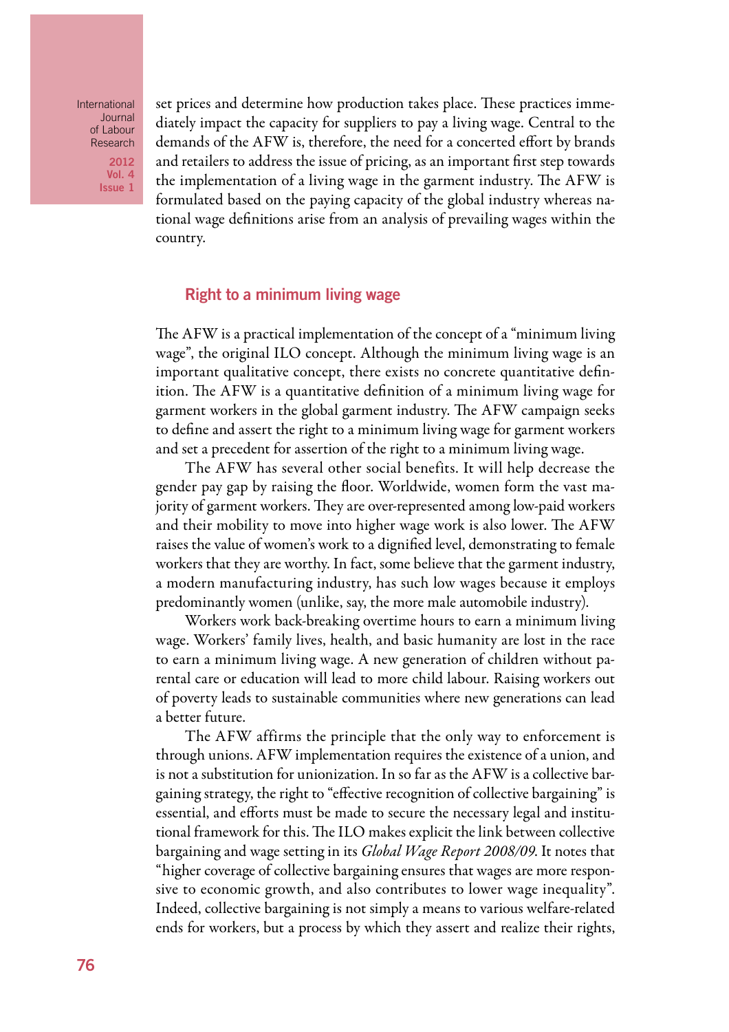> 2012 Vol. 4 Issue 1

set prices and determine how production takes place. These practices immediately impact the capacity for suppliers to pay a living wage. Central to the demands of the AFW is, therefore, the need for a concerted effort by brands and retailers to address the issue of pricing, as an important frst step towards the implementation of a living wage in the garment industry. The AFW is formulated based on the paying capacity of the global industry whereas national wage defnitions arise from an analysis of prevailing wages within the country.

#### Right to a minimum living wage

The AFW is a practical implementation of the concept of a "minimum living" wage", the original ILO concept. Although the minimum living wage is an important qualitative concept, there exists no concrete quantitative defnition. The AFW is a quantitative definition of a minimum living wage for garment workers in the global garment industry. The AFW campaign seeks to defne and assert the right to a minimum living wage for garment workers and set a precedent for assertion of the right to a minimum living wage.

The AFW has several other social benefits. It will help decrease the gender pay gap by raising the foor. Worldwide, women form the vast majority of garment workers. They are over-represented among low-paid workers and their mobility to move into higher wage work is also lower. The AFW raises the value of women's work to a dignifed level, demonstrating to female workers that they are worthy. In fact, some believe that the garment industry, a modern manufacturing industry, has such low wages because it employs predominantly women (unlike, say, the more male automobile industry).

Workers work back-breaking overtime hours to earn a minimum living wage. Workers' family lives, health, and basic humanity are lost in the race to earn a minimum living wage. A new generation of children without parental care or education will lead to more child labour. Raising workers out of poverty leads to sustainable communities where new generations can lead a better future.

The AFW affirms the principle that the only way to enforcement is through unions. AFW implementation requires the existence of a union, and is not a substitution for unionization. In so far as the AFW is a collective bargaining strategy, the right to "efective recognition of collective bargaining" is essential, and efforts must be made to secure the necessary legal and institutional framework for this. The ILO makes explicit the link between collective bargaining and wage setting in its *Global Wage Report* 2008*/*09. It notes that "higher coverage of collective bargaining ensures that wages are more responsive to economic growth, and also contributes to lower wage inequality". Indeed, collective bargaining is not simply a means to various welfare-related ends for workers, but a process by which they assert and realize their rights,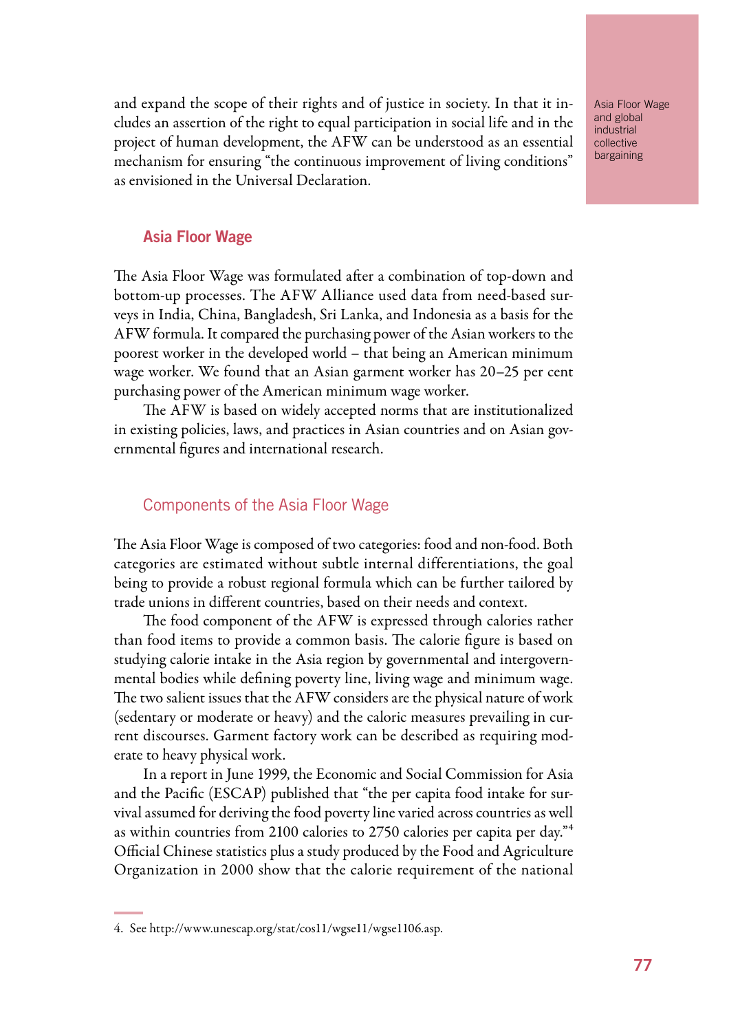Asia Floor Wage and global industrial collective bargaining

and expand the scope of their rights and of justice in society. In that it includes an assertion of the right to equal participation in social life and in the project of human development, the AFW can be understood as an essential mechanism for ensuring "the continuous improvement of living conditions" as envisioned in the Universal Declaration.

## Asia Floor Wage

The Asia Floor Wage was formulated after a combination of top-down and bottom-up processes. The AFW Alliance used data from need-based surveys in India, China, Bangladesh, Sri Lanka, and Indonesia as a basis for the AFW formula. It compared the purchasing power of the Asian workers to the poorest worker in the developed world – that being an American minimum wage worker. We found that an Asian garment worker has 20–25 per cent purchasing power of the American minimum wage worker.

The AFW is based on widely accepted norms that are institutionalized in existing policies, laws, and practices in Asian countries and on Asian governmental fgures and international research.

#### Components of the Asia Floor Wage

The Asia Floor Wage is composed of two categories: food and non-food. Both categories are estimated without subtle internal differentiations, the goal being to provide a robust regional formula which can be further tailored by trade unions in diferent countries, based on their needs and context.

The food component of the AFW is expressed through calories rather than food items to provide a common basis. The calorie figure is based on studying calorie intake in the Asia region by governmental and intergovernmental bodies while defning poverty line, living wage and minimum wage. The two salient issues that the AFW considers are the physical nature of work (sedentary or moderate or heavy) and the caloric measures prevailing in current discourses. Garment factory work can be described as requiring moderate to heavy physical work.

In a report in June 1999, the Economic and Social Commission for Asia and the Pacifc (ESCAP) published that "the per capita food intake for survival assumed for deriving the food poverty line varied across countries as well as within countries from 2100 calories to 2750 calories per capita per day."4 Official Chinese statistics plus a study produced by the Food and Agriculture Organization in 2000 show that the calorie requirement of the national

<sup>4</sup>. See http://www.unescap.org/stat/cos11/wgse11/wgse1106.asp.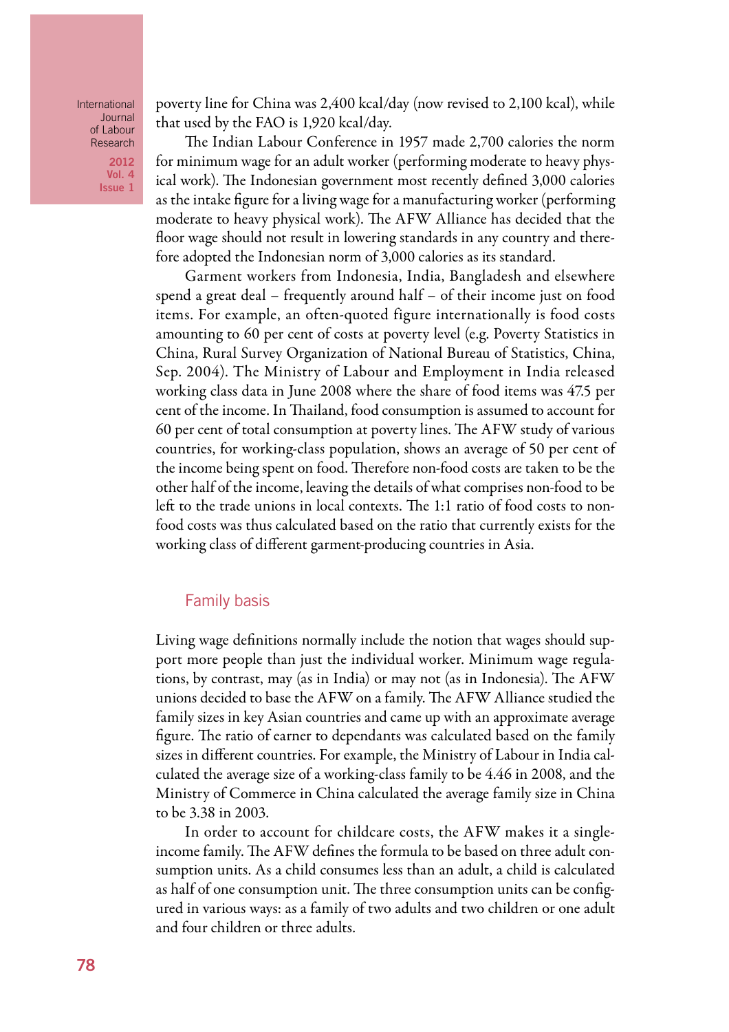> 2012 Vol. 4 Issue 1

poverty line for China was 2,400 kcal/day (now revised to 2,100 kcal), while that used by the FAO is 1,920 kcal/day.

The Indian Labour Conference in 1957 made 2,700 calories the norm for minimum wage for an adult worker (performing moderate to heavy physical work). The Indonesian government most recently defined 3,000 calories as the intake fgure for a living wage for a manufacturing worker (performing moderate to heavy physical work). The AFW Alliance has decided that the foor wage should not result in lowering standards in any country and therefore adopted the Indonesian norm of 3,000 calories as its standard.

Garment workers from Indonesia, India, Bangladesh and elsewhere spend a great deal – frequently around half – of their income just on food items. For example, an often-quoted figure internationally is food costs amounting to 60 per cent of costs at poverty level (e.g. Poverty Statistics in China, Rural Survey Organization of National Bureau of Statistics, China, Sep. 2004). The Ministry of Labour and Employment in India released working class data in June 2008 where the share of food items was 47.5 per cent of the income. In Tailand, food consumption is assumed to account for 60 per cent of total consumption at poverty lines. The AFW study of various countries, for working-class population, shows an average of 50 per cent of the income being spent on food. Therefore non-food costs are taken to be the other half of the income, leaving the details of what comprises non-food to be left to the trade unions in local contexts. The 1:1 ratio of food costs to nonfood costs was thus calculated based on the ratio that currently exists for the working class of diferent garment-producing countries in Asia.

#### Family basis

Living wage defnitions normally include the notion that wages should support more people than just the individual worker. Minimum wage regulations, by contrast, may (as in India) or may not (as in Indonesia). The AFW unions decided to base the AFW on a family. The AFW Alliance studied the family sizes in key Asian countries and came up with an approximate average figure. The ratio of earner to dependants was calculated based on the family sizes in diferent countries. For example, the Ministry of Labour in India calculated the average size of a working-class family to be 4.46 in 2008, and the Ministry of Commerce in China calculated the average family size in China to be 3.38 in 2003.

In order to account for childcare costs, the AFW makes it a singleincome family. The AFW defines the formula to be based on three adult consumption units. As a child consumes less than an adult, a child is calculated as half of one consumption unit. The three consumption units can be configured in various ways: as a family of two adults and two children or one adult and four children or three adults.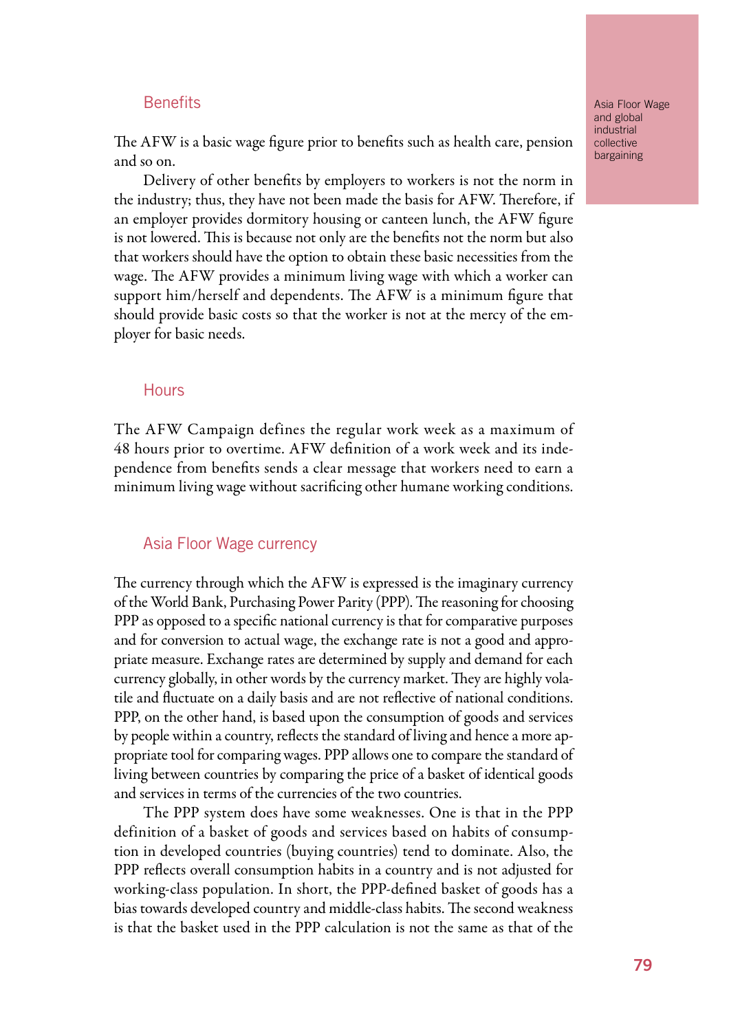# **Benefits**

The AFW is a basic wage figure prior to benefits such as health care, pension and so on.

Delivery of other benefts by employers to workers is not the norm in the industry; thus, they have not been made the basis for AFW. Therefore, if an employer provides dormitory housing or canteen lunch, the AFW fgure is not lowered. This is because not only are the benefits not the norm but also that workers should have the option to obtain these basic necessities from the wage. The AFW provides a minimum living wage with which a worker can support him/herself and dependents. The AFW is a minimum figure that should provide basic costs so that the worker is not at the mercy of the employer for basic needs.

#### **Hours**

The AFW Campaign defines the regular work week as a maximum of 48 hours prior to overtime. AFW defnition of a work week and its independence from benefts sends a clear message that workers need to earn a minimum living wage without sacrifcing other humane working conditions.

# Asia Floor Wage currency

The currency through which the AFW is expressed is the imaginary currency of the World Bank, Purchasing Power Parity (PPP). The reasoning for choosing PPP as opposed to a specifc national currency is that for comparative purposes and for conversion to actual wage, the exchange rate is not a good and appropriate measure. Exchange rates are determined by supply and demand for each currency globally, in other words by the currency market. They are highly volatile and fuctuate on a daily basis and are not refective of national conditions. PPP, on the other hand, is based upon the consumption of goods and services by people within a country, refects the standard of living and hence a more appropriate tool for comparing wages. PPP allows one to compare the standard of living between countries by comparing the price of a basket of identical goods and services in terms of the currencies of the two countries.

The PPP system does have some weaknesses. One is that in the PPP definition of a basket of goods and services based on habits of consumption in developed countries (buying countries) tend to dominate. Also, the PPP refects overall consumption habits in a country and is not adjusted for working-class population. In short, the PPP-defned basket of goods has a bias towards developed country and middle-class habits. The second weakness is that the basket used in the PPP calculation is not the same as that of the Asia Floor Wage and global industrial collective bargaining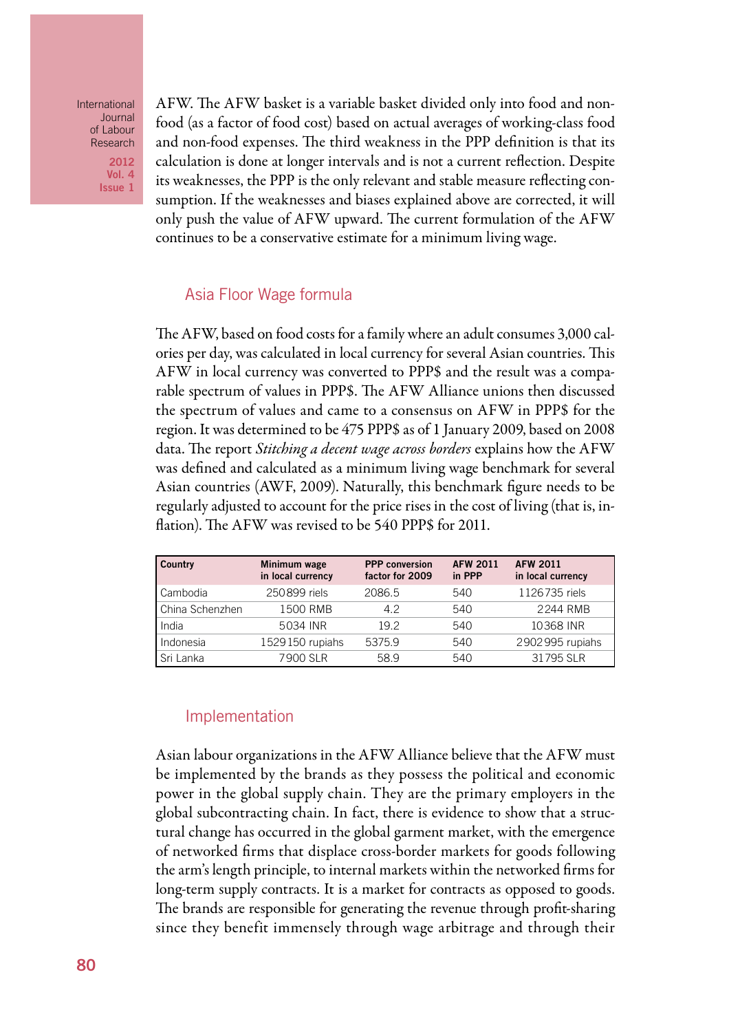Vol. 4 Issue 1 AFW. The AFW basket is a variable basket divided only into food and nonfood (as a factor of food cost) based on actual averages of working-class food and non-food expenses. The third weakness in the PPP definition is that its calculation is done at longer intervals and is not a current refection. Despite its weaknesses, the PPP is the only relevant and stable measure refecting consumption. If the weaknesses and biases explained above are corrected, it will only push the value of AFW upward. The current formulation of the AFW continues to be a conservative estimate for a minimum living wage.

# Asia Floor Wage formula

The AFW, based on food costs for a family where an adult consumes 3,000 calories per day, was calculated in local currency for several Asian countries. This AFW in local currency was converted to PPP\$ and the result was a comparable spectrum of values in PPP\$. The AFW Alliance unions then discussed the spectrum of values and came to a consensus on AFW in PPP\$ for the region. It was determined to be 475 PPP\$ as of 1 January 2009, based on 2008 data. The report *Stitching a decent wage across borders* explains how the AFW was defned and calculated as a minimum living wage benchmark for several Asian countries (AWF, 2009). Naturally, this benchmark fgure needs to be regularly adjusted to account for the price rises in the cost of living (that is, inflation). The AFW was revised to be 540 PPP\$ for 2011.

| Country           | Minimum wage<br>in local currency | <b>PPP</b> conversion<br>factor for 2009 | <b>AFW 2011</b><br>in PPP | <b>AFW 2011</b><br>in local currency |
|-------------------|-----------------------------------|------------------------------------------|---------------------------|--------------------------------------|
| Cambodia          | 250899 riels                      | 2086.5                                   | 540                       | 1126735 riels                        |
| l China Schenzhen | 1500 RMB                          | 4.2                                      | 540                       | 2244 RMB                             |
| India             | 5034 INR                          | 19.2                                     | 540                       | 10368 INR                            |
| Indonesia         | 1529150 rupiahs                   | 5375.9                                   | 540                       | 2902995 rupiahs                      |
| Sri Lanka         | 7900 SLR                          | 58.9                                     | 540                       | 31795 SLR                            |

# Implementation

Asian labour organizations in the AFW Alliance believe that the AFW must be implemented by the brands as they possess the political and economic power in the global supply chain. They are the primary employers in the global subcontracting chain. In fact, there is evidence to show that a structural change has occurred in the global garment market, with the emergence of networked frms that displace cross-border markets for goods following the arm's length principle, to internal markets within the networked frms for long-term supply contracts. It is a market for contracts as opposed to goods. The brands are responsible for generating the revenue through profit-sharing since they benefit immensely through wage arbitrage and through their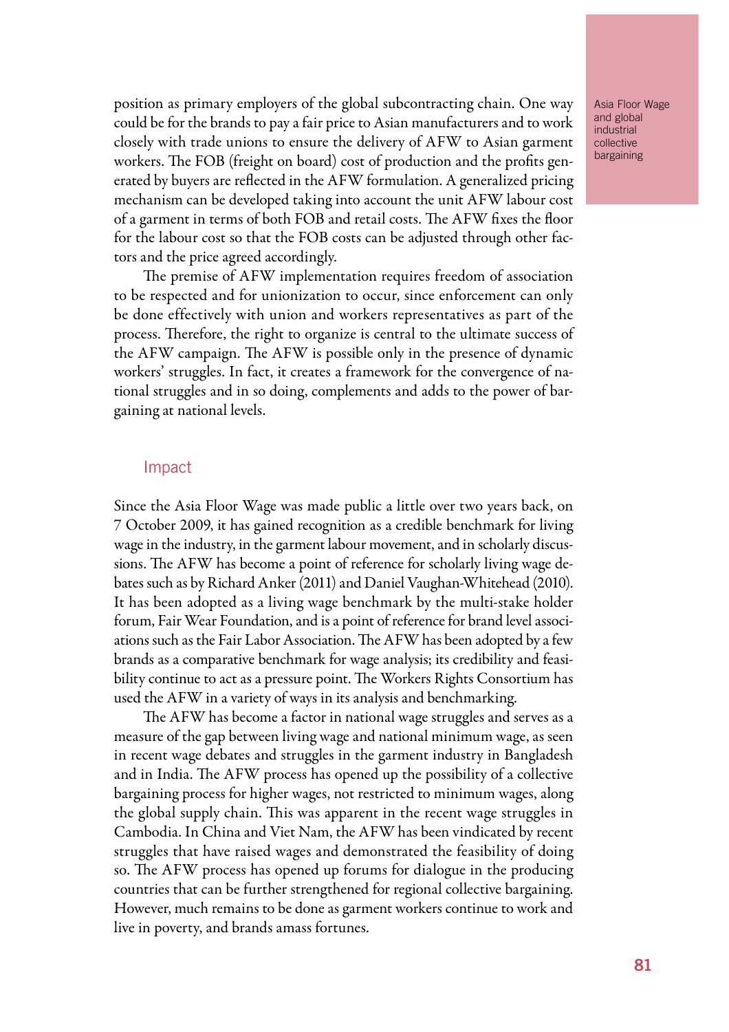position as primary employers of the global subcontracting chain. One way could be for the brands to pay a fair price to Asian manufacturers and to work closely with trade unions to ensure the delivery of AFW to Asian garment workers. The FOB (freight on board) cost of production and the profits generated by buyers are refected in the AFW formulation. A generalized pricing mechanism can be developed taking into account the unit AFW labour cost of a garment in terms of both FOB and retail costs. The AFW fixes the floor for the labour cost so that the FOB costs can be adjusted through other factors and the price agreed accordingly.

The premise of AFW implementation requires freedom of association to be respected and for unionization to occur, since enforcement can only be done effectively with union and workers representatives as part of the process. Therefore, the right to organize is central to the ultimate success of the AFW campaign. The AFW is possible only in the presence of dynamic workers' struggles. In fact, it creates a framework for the convergence of national struggles and in so doing, complements and adds to the power of bargaining at national levels.

#### Impact

Since the Asia Floor Wage was made public a little over two years back, on 7 October 2009, it has gained recognition as a credible benchmark for living wage in the industry, in the garment labour movement, and in scholarly discussions. The AFW has become a point of reference for scholarly living wage debates such as by Richard Anker (2011) and Daniel Vaughan-Whitehead (2010). It has been adopted as a living wage benchmark by the multi-stake holder forum, Fair Wear Foundation, and is a point of reference for brand level associations such as the Fair Labor Association. The AFW has been adopted by a few brands as a comparative benchmark for wage analysis; its credibility and feasibility continue to act as a pressure point. The Workers Rights Consortium has used the AFW in a variety of ways in its analysis and benchmarking.

The AFW has become a factor in national wage struggles and serves as a measure of the gap between living wage and national minimum wage, as seen in recent wage debates and struggles in the garment industry in Bangladesh and in India. The AFW process has opened up the possibility of a collective bargaining process for higher wages, not restricted to minimum wages, along the global supply chain. This was apparent in the recent wage struggles in Cambodia. In China and Viet Nam, the AFW has been vindicated by recent struggles that have raised wages and demonstrated the feasibility of doing so. The AFW process has opened up forums for dialogue in the producing countries that can be further strengthened for regional collective bargaining. However, much remains to be done as garment workers continue to work and live in poverty, and brands amass fortunes.

Asia Floor Wage and global industrial collective bargaining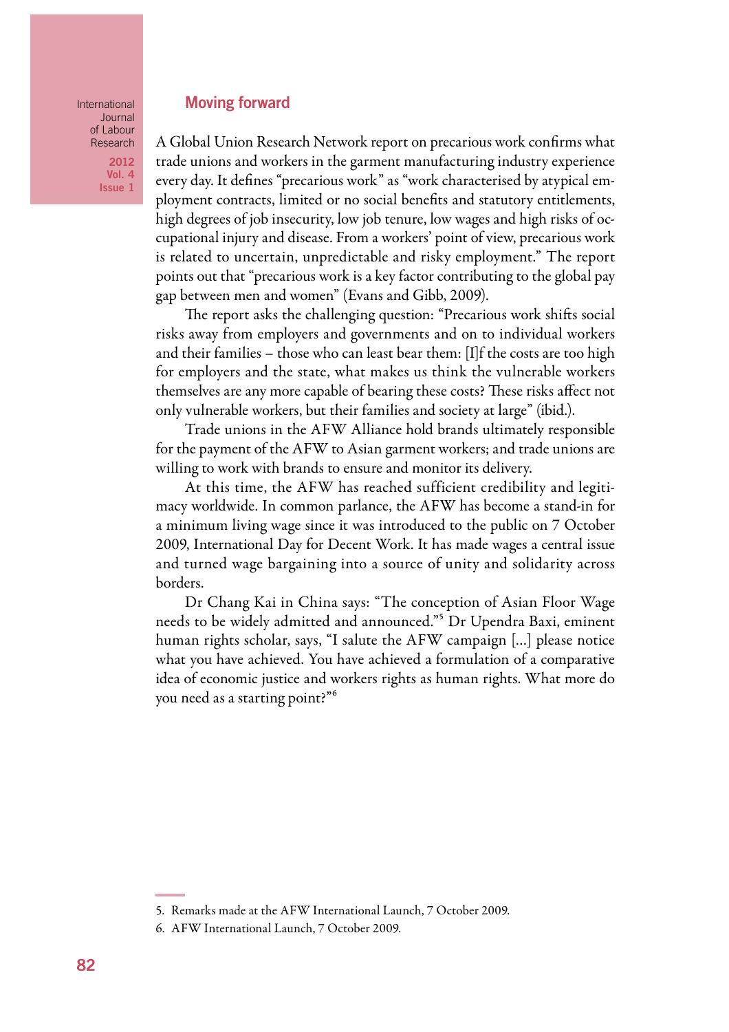#### Moving forward

International Journal of Labour Research 2012

> Vol. 4 Issue 1

A Global Union Research Network report on precarious work confrms what trade unions and workers in the garment manufacturing industry experience every day. It defnes "precarious work" as "work characterised by atypical employment contracts, limited or no social benefts and statutory entitlements, high degrees of job insecurity, low job tenure, low wages and high risks of occupational injury and disease. From a workers' point of view, precarious work is related to uncertain, unpredictable and risky employment." The report points out that "precarious work is a key factor contributing to the global pay gap between men and women" (Evans and Gibb, 2009).

The report asks the challenging question: "Precarious work shifts social risks away from employers and governments and on to individual workers and their families – those who can least bear them: [I]f the costs are too high for employers and the state, what makes us think the vulnerable workers themselves are any more capable of bearing these costs? These risks affect not only vulnerable workers, but their families and society at large" (ibid.).

Trade unions in the AFW Alliance hold brands ultimately responsible for the payment of the AFW to Asian garment workers; and trade unions are willing to work with brands to ensure and monitor its delivery.

At this time, the AFW has reached sufficient credibility and legitimacy worldwide. In common parlance, the AFW has become a stand-in for a minimum living wage since it was introduced to the public on 7 October 2009, International Day for Decent Work. It has made wages a central issue and turned wage bargaining into a source of unity and solidarity across borders.

Dr Chang Kai in China says: "The conception of Asian Floor Wage needs to be widely admitted and announced."5 Dr Upendra Baxi, eminent human rights scholar, says, "I salute the AFW campaign […] please notice what you have achieved. You have achieved a formulation of a comparative idea of economic justice and workers rights as human rights. What more do you need as a starting point?"6

<sup>5</sup>. Remarks made at the AFW International Launch, 7 October 2009.

<sup>6</sup>. AFW International Launch, 7 October 2009.